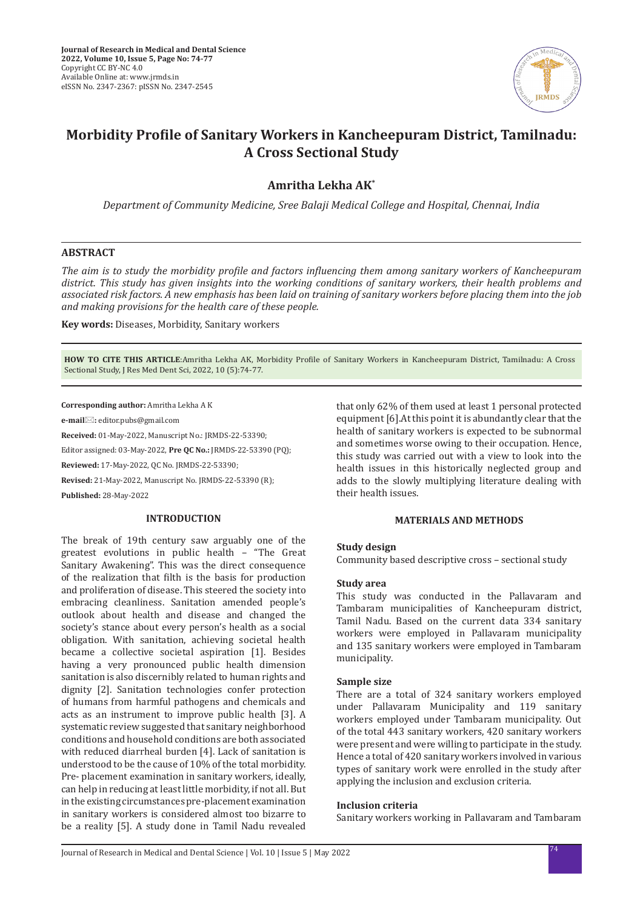

# **Morbidity Profile of Sanitary Workers in Kancheepuram District, Tamilnadu: A Cross Sectional Study**

# **Amritha Lekha AK\***

*Department of Community Medicine, Sree Balaji Medical College and Hospital, Chennai, India*

## **ABSTRACT**

*The aim is to study the morbidity profile and factors influencing them among sanitary workers of Kancheepuram district. This study has given insights into the working conditions of sanitary workers, their health problems and associated risk factors. A new emphasis has been laid on training of sanitary workers before placing them into the job and making provisions for the health care of these people.*

**Key words:** Diseases, Morbidity, Sanitary workers

**HOW TO CITE THIS ARTICLE**:Amritha Lekha AK, Morbidity Profile of Sanitary Workers in Kancheepuram District, Tamilnadu: A Cross Sectional Study, J Res Med Dent Sci, 2022, 10 (5):74-77.

**Corresponding author:** Amritha Lekha A K

**e-mail:** editor.pubs@gmail.com

**Received:** 01-May-2022, Manuscript No.: JRMDS-22-53390;

Editor assigned: 03-May-2022, **Pre QC No.:** JRMDS-22-53390 (PQ);

**Reviewed:** 17-May-2022, QC No. JRMDS-22-53390;

**Revised:** 21-May-2022, Manuscript No. JRMDS-22-53390 (R);

**Published:** 28-May-2022

## **INTRODUCTION**

The break of 19th century saw arguably one of the greatest evolutions in public health – "The Great Sanitary Awakening". This was the direct consequence of the realization that filth is the basis for production and proliferation of disease. This steered the society into embracing cleanliness. Sanitation amended people's outlook about health and disease and changed the society's stance about every person's health as a social obligation. With sanitation, achieving societal health became a collective societal aspiration [1]. Besides having a very pronounced public health dimension sanitation is also discernibly related to human rights and dignity [2]. Sanitation technologies confer protection of humans from harmful pathogens and chemicals and acts as an instrument to improve public health [3]. A systematic review suggested that sanitary neighborhood conditions and household conditions are both associated with reduced diarrheal burden [4]. Lack of sanitation is understood to be the cause of 10% of the total morbidity. Pre- placement examination in sanitary workers, ideally, can help in reducing at least little morbidity, if not all. But in the existing circumstances pre-placement examination in sanitary workers is considered almost too bizarre to be a reality [5]. A study done in Tamil Nadu revealed that only 62% of them used at least 1 personal protected equipment [6].At this point it is abundantly clear that the health of sanitary workers is expected to be subnormal and sometimes worse owing to their occupation. Hence, this study was carried out with a view to look into the health issues in this historically neglected group and adds to the slowly multiplying literature dealing with their health issues.

## **MATERIALS AND METHODS**

## **Study design**

Community based descriptive cross – sectional study

#### **Study area**

This study was conducted in the Pallavaram and Tambaram municipalities of Kancheepuram district, Tamil Nadu. Based on the current data 334 sanitary workers were employed in Pallavaram municipality and 135 sanitary workers were employed in Tambaram municipality.

## **Sample size**

There are a total of 324 sanitary workers employed under Pallavaram Municipality and 119 sanitary workers employed under Tambaram municipality. Out of the total 443 sanitary workers, 420 sanitary workers were present and were willing to participate in the study. Hence a total of 420 sanitary workers involved in various types of sanitary work were enrolled in the study after applying the inclusion and exclusion criteria.

## **Inclusion criteria**

Sanitary workers working in Pallavaram and Tambaram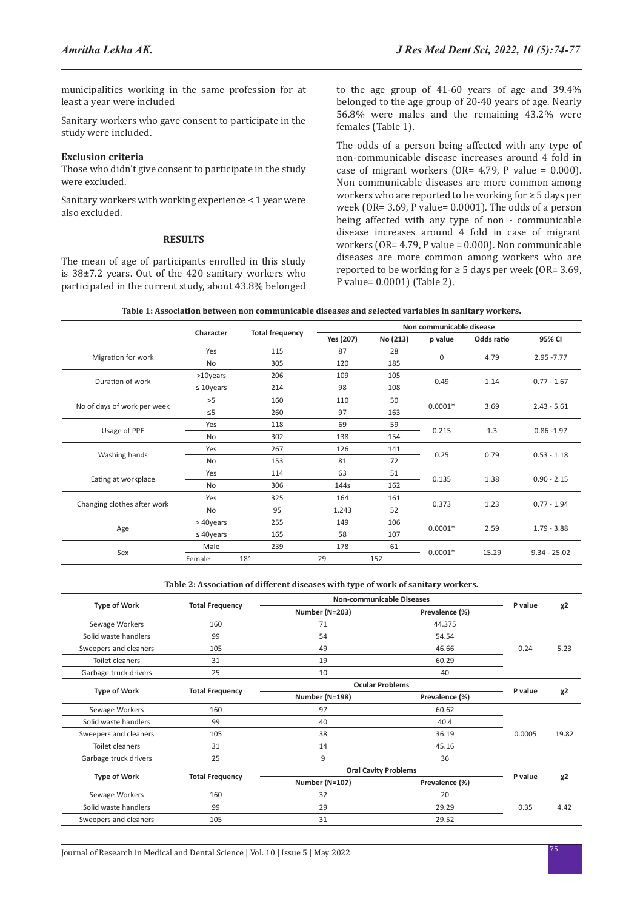municipalities working in the same profession for at least a year were included

Sanitary workers who gave consent to participate in the study were included.

#### **Exclusion criteria**

Those who didn't give consent to participate in the study were excluded.

Sanitary workers with working experience < 1 year were also excluded.

#### **RESULTS**

The mean of age of participants enrolled in this study is 38±7.2 years. Out of the 420 sanitary workers who participated in the current study, about 43.8% belonged to the age group of 41-60 years of age and 39.4% belonged to the age group of 20-40 years of age. Nearly 56.8% were males and the remaining 43.2% were females (Table 1).

The odds of a person being affected with any type of non-communicable disease increases around 4 fold in case of migrant workers (OR=  $4.79$ , P value = 0.000). Non communicable diseases are more common among workers who are reported to be working for ≥ 5 days per week (OR= 3.69, P value= 0.0001). The odds of a person being affected with any type of non - communicable disease increases around 4 fold in case of migrant workers (OR= 4.79, P value = 0.000). Non communicable diseases are more common among workers who are reported to be working for  $\geq 5$  days per week (OR= 3.69, P value= 0.0001) (Table 2).

| Table 1: Association between non communicable diseases and selected variables in sanitary workers. |  |
|----------------------------------------------------------------------------------------------------|--|
|----------------------------------------------------------------------------------------------------|--|

|                             |                 | <b>Total frequency</b><br>Character | Non communicable disease |          |           |            |                |
|-----------------------------|-----------------|-------------------------------------|--------------------------|----------|-----------|------------|----------------|
|                             |                 |                                     | Yes (207)                | No (213) | p value   | Odds ratio | 95% CI         |
| Migration for work          | Yes             | 115                                 | 87                       | 28       | 0         | 4.79       | $2.95 - 7.77$  |
|                             | No              | 305                                 | 120                      | 185      |           |            |                |
| Duration of work            | $>10$ years     | 206                                 | 109                      | 105      | 0.49      | 1.14       | $0.77 - 1.67$  |
|                             | $\leq 10$ years | 214                                 | 98                       | 108      |           |            |                |
|                             | >5              | 160                                 | 110                      | 50       | $0.0001*$ | 3.69       | $2.43 - 5.61$  |
| No of days of work per week | $\leq$ 5        | 260                                 | 97                       | 163      |           |            |                |
|                             | Yes             | 118                                 | 69                       | 59       | 0.215     | 1.3        | $0.86 - 1.97$  |
| Usage of PPE                | <b>No</b>       | 302                                 | 138                      | 154      |           |            |                |
|                             | Yes             | 267                                 | 126                      | 141      | 0.25      | 0.79       | $0.53 - 1.18$  |
| Washing hands               | <b>No</b>       | 153                                 | 81                       | 72       |           |            |                |
| Eating at workplace         | Yes             | 114                                 | 63                       | 51       |           | 1.38       | $0.90 - 2.15$  |
|                             | No              | 306                                 | 144s                     | 162      | 0.135     |            |                |
| Changing clothes after work | Yes             | 325                                 | 164                      | 161      | 0.373     | 1.23       | $0.77 - 1.94$  |
|                             | No              | 95                                  | 1.243                    | 52       |           |            |                |
| Age                         | > 40years       | 255                                 | 149                      | 106      |           | 2.59       | $1.79 - 3.88$  |
|                             | $\leq 40$ years | 165                                 | 58                       | 107      | $0.0001*$ |            |                |
| Sex                         | Male            | 239                                 | 178                      | 61       |           |            |                |
|                             | Female          | 181                                 | 29                       | 152      | $0.0001*$ | 15.29      | $9.34 - 25.02$ |

#### **Table 2: Association of different diseases with type of work of sanitary workers.**

|                        | Number (N=203)                                   | Prevalence (%) |                                  | $x^2$                         |
|------------------------|--------------------------------------------------|----------------|----------------------------------|-------------------------------|
| 160                    | 71                                               | 44.375         |                                  |                               |
| 99                     | 54                                               | 54.54          |                                  |                               |
| 105                    | 49                                               | 46.66          | 0.24                             | 5.23                          |
| 31                     | 19                                               | 60.29          |                                  |                               |
| 25                     | 10                                               | 40             |                                  |                               |
|                        | <b>Ocular Problems</b>                           |                |                                  |                               |
|                        | Number (N=198)                                   | Prevalence (%) |                                  | $x^2$                         |
| 160                    | 97                                               | 60.62          |                                  |                               |
| 99                     | 40                                               | 40.4           |                                  |                               |
| 105                    | 38                                               | 36.19          | 0.0005                           | 19.82                         |
| 31                     | 14                                               | 45.16          |                                  |                               |
| 25                     | 9                                                | 36             |                                  |                               |
| <b>Total Frequency</b> | <b>Oral Cavity Problems</b>                      |                |                                  |                               |
|                        | Number (N=107)                                   | Prevalence (%) |                                  | $x^2$                         |
| 160                    | 32                                               | 20             |                                  |                               |
| 99                     | 29                                               | 29.29          | 0.35                             | 4.42                          |
| 105                    | 31                                               | 29.52          |                                  |                               |
|                        | <b>Total Frequency</b><br><b>Total Frequency</b> |                | <b>Non-communicable Diseases</b> | P value<br>P value<br>P value |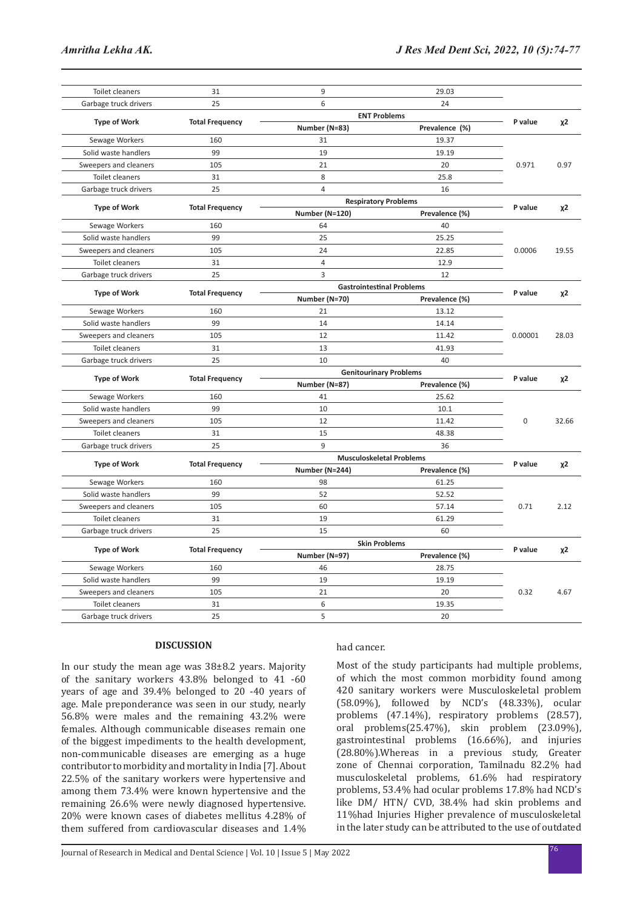| <b>Toilet cleaners</b> | 31                     | 9                                | 29.03               |             |       |
|------------------------|------------------------|----------------------------------|---------------------|-------------|-------|
| Garbage truck drivers  | 25                     | 6                                | 24                  |             |       |
| <b>Type of Work</b>    | <b>Total Frequency</b> |                                  | <b>ENT Problems</b> |             |       |
|                        |                        | Number (N=83)                    | Prevalence (%)      | P value     | χ2    |
| Sewage Workers         | 160                    | 31                               | 19.37               |             |       |
| Solid waste handlers   | 99                     | 19                               | 19.19               | 0.971       |       |
| Sweepers and cleaners  | 105                    | 21                               | 20                  |             | 0.97  |
| Toilet cleaners        | 31                     | 8                                | 25.8                |             |       |
| Garbage truck drivers  | 25                     | $\overline{4}$                   | 16                  |             |       |
| <b>Type of Work</b>    | <b>Total Frequency</b> | <b>Respiratory Problems</b>      | P value             | $x^2$       |       |
|                        |                        | Number (N=120)                   | Prevalence (%)      |             |       |
| Sewage Workers         | 160                    | 64                               | 40                  |             |       |
| Solid waste handlers   | 99                     | 25                               | 25.25               | 0.0006      |       |
| Sweepers and cleaners  | 105                    | 24                               | 22.85               |             | 19.55 |
| <b>Toilet cleaners</b> | 31                     | $\overline{4}$                   | 12.9                |             |       |
| Garbage truck drivers  | 25                     | 3                                | 12                  |             |       |
|                        | <b>Total Frequency</b> | <b>Gastrointestinal Problems</b> |                     |             |       |
| <b>Type of Work</b>    |                        | Number (N=70)                    | Prevalence (%)      | P value     | χ2    |
| Sewage Workers         | 160                    | 21                               | 13.12               |             |       |
| Solid waste handlers   | 99                     | 14                               | 14.14               |             |       |
| Sweepers and cleaners  | 105                    | 12                               | 11.42               | 0.00001     | 28.03 |
| Toilet cleaners        | 31                     | 13                               | 41.93               |             |       |
| Garbage truck drivers  | 25                     | 10                               | 40                  |             |       |
|                        |                        | <b>Genitourinary Problems</b>    |                     |             | $x^2$ |
| <b>Type of Work</b>    | <b>Total Frequency</b> | Number (N=87)                    | Prevalence (%)      | P value     |       |
| Sewage Workers         | 160                    | 41                               | 25.62               |             |       |
| Solid waste handlers   | 99                     | 10                               | 10.1                |             |       |
| Sweepers and cleaners  | 105                    | 12                               | 11.42               | $\mathbf 0$ | 32.66 |
| <b>Toilet cleaners</b> | 31                     | 15                               | 48.38               |             |       |
| Garbage truck drivers  | 25                     | 9                                | 36                  |             |       |
|                        |                        | <b>Musculoskeletal Problems</b>  |                     |             |       |
| <b>Type of Work</b>    | <b>Total Frequency</b> | Number (N=244)                   | Prevalence (%)      | P value     | χ2    |
| Sewage Workers         | 160                    | 98                               | 61.25               |             |       |
| Solid waste handlers   | 99                     | 52                               | 52.52               |             |       |
| Sweepers and cleaners  | 105                    | 60                               | 57.14               | 0.71        | 2.12  |
| Toilet cleaners        | 31                     | 19                               | 61.29               |             |       |
| Garbage truck drivers  | 25                     | 15                               | 60                  |             |       |
| <b>Type of Work</b>    | <b>Total Frequency</b> | <b>Skin Problems</b>             |                     |             |       |
|                        |                        | Number (N=97)                    | Prevalence (%)      | P value     | χ2    |
| Sewage Workers         | 160                    | 46                               | 28.75               |             |       |
| Solid waste handlers   | 99                     | 19                               | 19.19               | 0.32        |       |
| Sweepers and cleaners  | 105                    | 21                               | 20                  |             | 4.67  |
| <b>Toilet cleaners</b> | 31                     | 6                                | 19.35               |             |       |
| Garbage truck drivers  | 25                     | 5                                | 20                  |             |       |

## **DISCUSSION**

In our study the mean age was 38±8.2 years. Majority of the sanitary workers 43.8% belonged to 41 -60 years of age and 39.4% belonged to 20 -40 years of age. Male preponderance was seen in our study, nearly 56.8% were males and the remaining 43.2% were females. Although communicable diseases remain one of the biggest impediments to the health development, non-communicable diseases are emerging as a huge contributor to morbidity and mortality in India [7]. About 22.5% of the sanitary workers were hypertensive and among them 73.4% were known hypertensive and the remaining 26.6% were newly diagnosed hypertensive. 20% were known cases of diabetes mellitus 4.28% of them suffered from cardiovascular diseases and 1.4%

#### had cancer.

Most of the study participants had multiple problems, of which the most common morbidity found among 420 sanitary workers were Musculoskeletal problem (58.09%), followed by NCD's (48.33%), ocular problems (47.14%), respiratory problems (28.57), oral problems(25.47%), skin problem (23.09%), gastrointestinal problems (16.66%), and injuries (28.80%).Whereas in a previous study, Greater zone of Chennai corporation, Tamilnadu 82.2% had musculoskeletal problems, 61.6% had respiratory problems, 53.4% had ocular problems 17.8% had NCD's like DM/ HTN/ CVD, 38.4% had skin problems and 11%had Injuries Higher prevalence of musculoskeletal in the later study can be attributed to the use of outdated